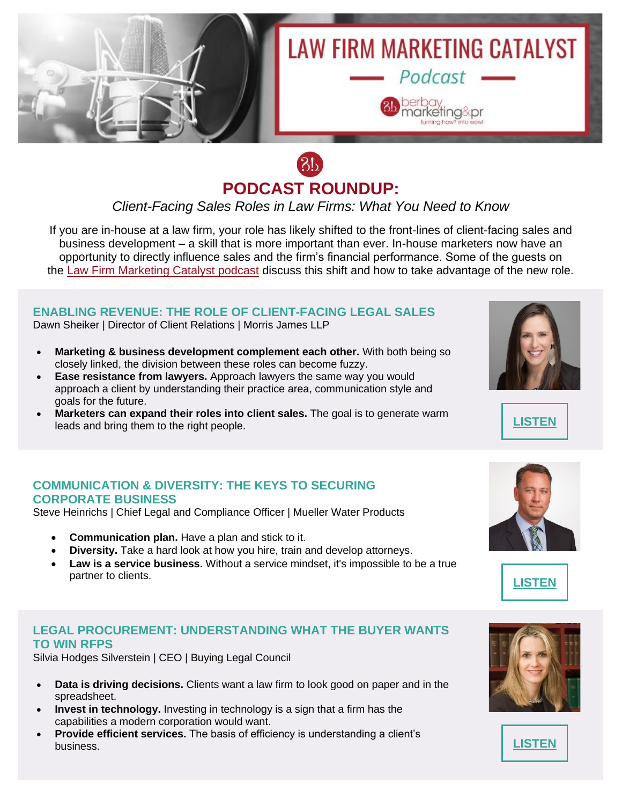

# $3<sub>b</sub>$ **PODCAST ROUNDUP:**

*Client-Facing Sales Roles in Law Firms: What You Need to Know*

If you are in-house at a law firm, your role has likely shifted to the front-lines of client-facing sales and business development – a skill that is more important than ever. In-house marketers now have an opportunity to directly influence sales and the firm's financial performance. Some of the guests on the [Law Firm Marketing Catalyst podcast](http://b.marketingautomation.services/click/308475567/www.berbay.com/?p=EL5UQiPeOKp92hg_X16GjtJIh1-apLEazyE0pKULDZ-VKmdTfGp11PQWYdyOTMp2NWoL7trTdjicpDyP12tyJ8hIiIfpmqY4T5gikN_N_XR9qq9Dvl7DVYwmbciERF790Y-AqQSHzklKsB7i7tgK9NvHAn_BGYgc53_KKnvLEAKP9h-t8F0IsP1EghkWe6guhKEAgVwDqZJVq_bIm53dPwnO12SpR3cEhhgN7KgbhjVC22OogWLyd4w87U5YKIxctKVd5Ln6g_DN-YAr9z7HxA==) discuss this shift and how to take advantage of the new role.

## **ENABLING REVENUE: THE ROLE OF CLIENT-FACING LEGAL SALES**

Dawn Sheiker | Director of Client Relations | Morris James LLP

- **Marketing & business development complement each other.** With both being so closely linked, the division between these roles can become fuzzy.
- **Ease resistance from lawyers.** Approach lawyers the same way you would approach a client by understanding their practice area, communication style and goals for the future.
- **Marketers can expand their roles into client sales.** The goal is to generate warm leads and bring them to the right people. **[LISTEN](http://b.marketingautomation.services/click/308475567/bit.ly/?p=dt1pecxPVhO3eCEC3UYhlH4TqXnJfvF0cp4hIU7M_C_CX4LmHAg6oxEePUF1Ju18jQujJToLDRwW4QOUFLGE47eIK_RXgTshxYx60vUYaE-5m9DwZ6X7Tp4Agr1KtN-QCvUsTKhzpvsdXSQk4EYyVCmZlfwjRfN_hQzyL6xzF3sWPExFawuJm_yCS4vp1iKdOapCifhtU8AqPLcrps_yFSuWlYqeGgacJ1QTVsDESc8=)**





### **COMMUNICATION & DIVERSITY: THE KEYS TO SECURING CORPORATE BUSINESS**

Steve Heinrichs | Chief Legal and Compliance Officer | Mueller Water Products

- **Communication plan.** Have a plan and stick to it.
- **Diversity.** Take a hard look at how you hire, train and develop attorneys.
- **Law is a service business.** Without a service mindset, it's impossible to be a true partner to clients. **[LISTEN](http://b.marketingautomation.services/click/308475567/bit.ly/?p=swNsD3wxHjJJAD98dX9cSoTIA8ddcYKphLWDXZOZBDm2wLeWsYubN940_QTBeB-cf_9FRmJKnS861artulsf4-yJL0PM0Y88nwLT3dKDn4RDe1rxO-vsoOdSuL5_lyjI_ARTbWbUdJLa0lolQ3UimsQc-2xON9IBK74rqirW1UTOP50H22yV4LuF70jisF7Y6Mn_Vl50reGZ5vi0m3-4IwLMEg4fUomCq_UmraNFedc=)**

#### **LEGAL PROCUREMENT: UNDERSTANDING WHAT THE BUYER WANTS TO WIN RFPS**

Silvia Hodges Silverstein | CEO | Buying Legal Council

- **Data is driving decisions.** Clients want a law firm to look good on paper and in the spreadsheet.
- **Invest in technology.** Investing in technology is a sign that a firm has the capabilities a modern corporation would want.
- **Provide efficient services.** The basis of efficiency is understanding a client's business. **[LISTEN](http://b.marketingautomation.services/click/308475567/bit.ly/?p=fhMMC2w5t2pADx3hHgpxwURuiNC5dx5SjCQ43oetQq1-gN3X1m8x_PptQwWmWkFptOTi_4VCbtg9g7R5sNaE2meWiMpkRWy9w6R66jFAe_klJBGOs-1A-M4KPTgXSHLi0IaNSzxQOhxnJb1lZD62yz7C--266Ozd_w5XUTxzFjfJJzJvY7lrrN6HvdM_sgSBapq7VKZDoFjdmQRI7vM68IFYHWeqV5tH6Y9L9KG3rG4=)**